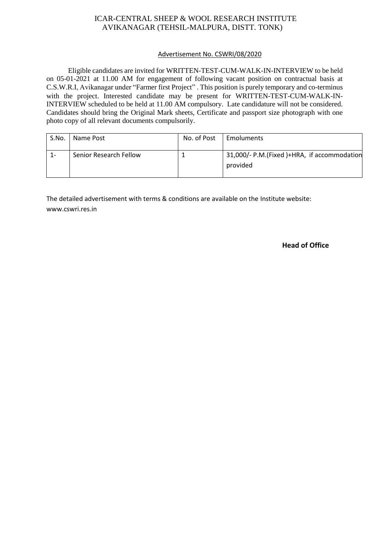# ICAR-CENTRAL SHEEP & WOOL RESEARCH INSTITUTE AVIKANAGAR (TEHSIL-MALPURA, DISTT. TONK)

### Advertisement No. CSWRI/08/2020

 Eligible candidates are invited for WRITTEN-TEST-CUM-WALK-IN-INTERVIEW to be held on 05-01-2021 at 11.00 AM for engagement of following vacant position on contractual basis at C.S.W.R.I, Avikanagar under "Farmer first Project" . This position is purely temporary and co-terminus with the project. Interested candidate may be present for WRITTEN-TEST-CUM-WALK-IN-INTERVIEW scheduled to be held at 11.00 AM compulsory. Late candidature will not be considered. Candidates should bring the Original Mark sheets, Certificate and passport size photograph with one photo copy of all relevant documents compulsorily.

| S.No. | Name Post              | No. of Post | Emoluments                                              |
|-------|------------------------|-------------|---------------------------------------------------------|
| 1-    | Senior Research Fellow |             | 31,000/- P.M.(Fixed )+HRA, if accommodation<br>provided |

The detailed advertisement with terms & conditions are available on the Institute website: www.cswri.res.in

#### **Head of Office**